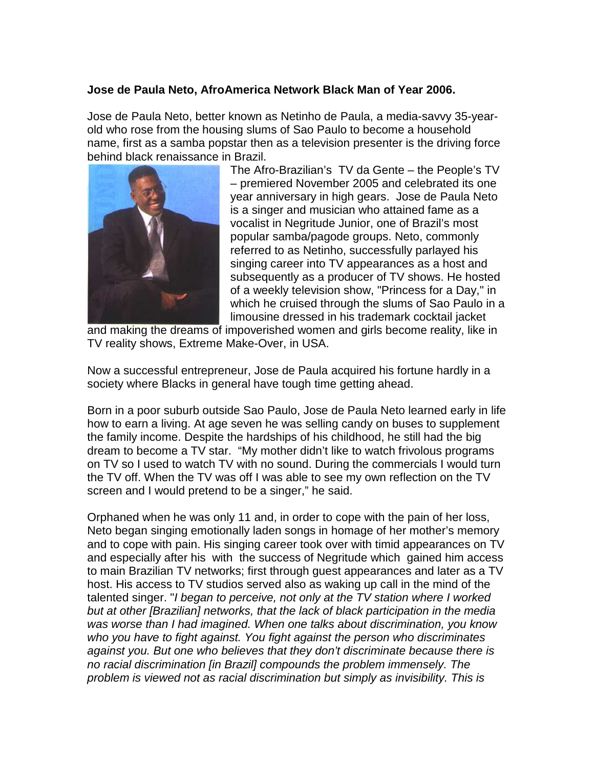## **Jose de Paula Neto, AfroAmerica Network Black Man of Year 2006.**

Jose de Paula Neto, better known as Netinho de Paula, a media-savvy 35-yearold who rose from the housing slums of Sao Paulo to become a household name, first as a samba popstar then as a television presenter is the driving force behind black renaissance in Brazil.



The Afro-Brazilian's TV da Gente – the People's TV – premiered November 2005 and celebrated its one year anniversary in high gears. Jose de Paula Neto is a singer and musician who attained fame as a vocalist in Negritude Junior, one of Brazil's most popular samba/pagode groups. Neto, commonly referred to as Netinho, successfully parlayed his singing career into TV appearances as a host and subsequently as a producer of TV shows. He hosted of a weekly television show, "Princess for a Day," in which he cruised through the slums of Sao Paulo in a limousine dressed in his trademark cocktail jacket

and making the dreams of impoverished women and girls become reality, like in TV reality shows, Extreme Make-Over, in USA.

Now a successful entrepreneur, Jose de Paula acquired his fortune hardly in a society where Blacks in general have tough time getting ahead.

Born in a poor suburb outside Sao Paulo, Jose de Paula Neto learned early in life how to earn a living. At age seven he was selling candy on buses to supplement the family income. Despite the hardships of his childhood, he still had the big dream to become a TV star. "My mother didn't like to watch frivolous programs on TV so I used to watch TV with no sound. During the commercials I would turn the TV off. When the TV was off I was able to see my own reflection on the TV screen and I would pretend to be a singer," he said.

Orphaned when he was only 11 and, in order to cope with the pain of her loss, Neto began singing emotionally laden songs in homage of her mother's memory and to cope with pain. His singing career took over with timid appearances on TV and especially after his with the success of Negritude which gained him access to main Brazilian TV networks; first through guest appearances and later as a TV host. His access to TV studios served also as waking up call in the mind of the talented singer. "I began to perceive, not only at the TV station where I worked but at other [Brazilian] networks, that the lack of black participation in the media was worse than I had imagined. When one talks about discrimination, you know who you have to fight against. You fight against the person who discriminates against you. But one who believes that they don't discriminate because there is no racial discrimination [in Brazil] compounds the problem immensely. The problem is viewed not as racial discrimination but simply as invisibility. This is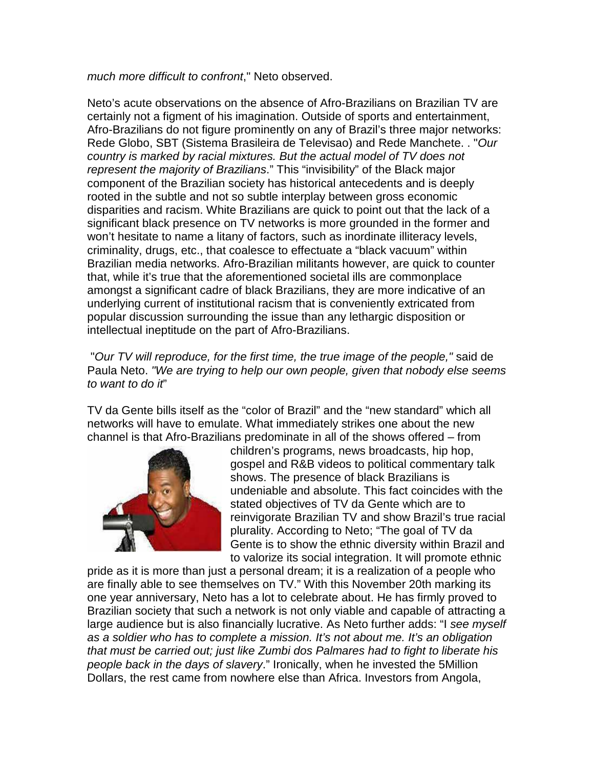much more difficult to confront," Neto observed.

Neto's acute observations on the absence of Afro-Brazilians on Brazilian TV are certainly not a figment of his imagination. Outside of sports and entertainment, Afro-Brazilians do not figure prominently on any of Brazil's three major networks: Rede Globo, SBT (Sistema Brasileira de Televisao) and Rede Manchete. . "Our country is marked by racial mixtures. But the actual model of TV does not represent the majority of Brazilians." This "invisibility" of the Black major component of the Brazilian society has historical antecedents and is deeply rooted in the subtle and not so subtle interplay between gross economic disparities and racism. White Brazilians are quick to point out that the lack of a significant black presence on TV networks is more grounded in the former and won't hesitate to name a litany of factors, such as inordinate illiteracy levels, criminality, drugs, etc., that coalesce to effectuate a "black vacuum" within Brazilian media networks. Afro-Brazilian militants however, are quick to counter that, while it's true that the aforementioned societal ills are commonplace amongst a significant cadre of black Brazilians, they are more indicative of an underlying current of institutional racism that is conveniently extricated from popular discussion surrounding the issue than any lethargic disposition or intellectual ineptitude on the part of Afro-Brazilians.

 "Our TV will reproduce, for the first time, the true image of the people," said de Paula Neto. "We are trying to help our own people, given that nobody else seems to want to do it"

TV da Gente bills itself as the "color of Brazil" and the "new standard" which all networks will have to emulate. What immediately strikes one about the new channel is that Afro-Brazilians predominate in all of the shows offered – from



children's programs, news broadcasts, hip hop, gospel and R&B videos to political commentary talk shows. The presence of black Brazilians is undeniable and absolute. This fact coincides with the stated objectives of TV da Gente which are to reinvigorate Brazilian TV and show Brazil's true racial plurality. According to Neto; "The goal of TV da Gente is to show the ethnic diversity within Brazil and to valorize its social integration. It will promote ethnic

pride as it is more than just a personal dream; it is a realization of a people who are finally able to see themselves on TV." With this November 20th marking its one year anniversary, Neto has a lot to celebrate about. He has firmly proved to Brazilian society that such a network is not only viable and capable of attracting a large audience but is also financially lucrative. As Neto further adds: "I see myself as a soldier who has to complete a mission. It's not about me. It's an obligation that must be carried out; just like Zumbi dos Palmares had to fight to liberate his people back in the days of slavery." Ironically, when he invested the 5Million Dollars, the rest came from nowhere else than Africa. Investors from Angola,